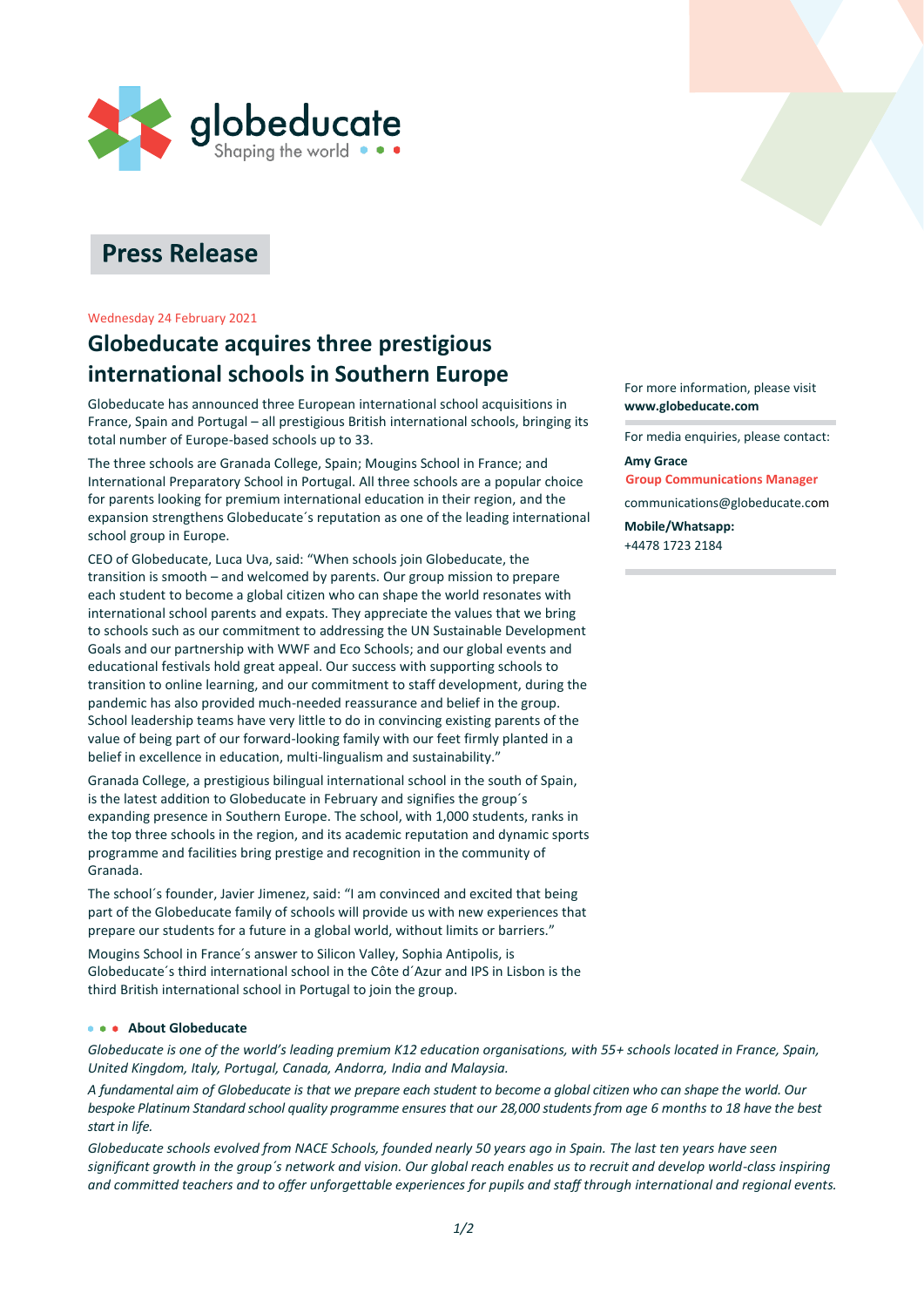

# **Press Release**

#### Wednesday 24 February 2021

# **Globeducate acquires three prestigious international schools in Southern Europe**

Globeducate has announced three European international school acquisitions in France, Spain and Portugal – all prestigious British international schools, bringing its total number of Europe-based schools up to 33.

The three schools are Granada College, Spain; Mougins School in France; and International Preparatory School in Portugal. All three schools are a popular choice for parents looking for premium international education in their region, and the expansion strengthens Globeducate´s reputation as one of the leading international school group in Europe.

CEO of Globeducate, Luca Uva, said: "When schools join Globeducate, the transition is smooth – and welcomed by parents. Our group mission to prepare each student to become a global citizen who can shape the world resonates with international school parents and expats. They appreciate the values that we bring to schools such as our commitment to addressing the UN Sustainable Development Goals and our partnership with WWF and Eco Schools; and our global events and educational festivals hold great appeal. Our success with supporting schools to transition to online learning, and our commitment to staff development, during the pandemic has also provided much-needed reassurance and belief in the group. School leadership teams have very little to do in convincing existing parents of the value of being part of our forward-looking family with our feet firmly planted in a belief in excellence in education, multi-lingualism and sustainability.'

Granada College, a prestigious bilingual international school in the south of Spain, is the latest addition to Globeducate in February and signifies the group´s expanding presence in Southern Europe. The school, with 1,000 students, ranks in the top three schools in the region, and its academic reputation and dynamic sports programme and facilities bring prestige and recognition in the community of Granada.

The school´s founder, Javier Jimenez, said: "I am convinced and excited that being part of the Globeducate family of schools will provide us with new experiences that prepare our students for a future in a global world, without limits or barriers."

Mougins School in France´s answer to Silicon Valley, Sophia Antipolis, is Globeducate´s third international school in the Côte d´Azur and IPS in Lisbon is the third British international school in Portugal to join the group.

# **About Globeducate**

*Globeducate is one of the world's leading premium K12 education organisations, with 55+ schools located in France, Spain, United Kingdom, Italy, Portugal, Canada, Andorra, India and Malaysia.*

*A fundamental aim of Globeducate is that we prepare each student to become a global citizen who can shape the world. Our bespoke Platinum Standard school quality programme ensures that our 28,000 students from age 6 months to 18 have the best start in life.*

*Globeducate schools evolved from NACE Schools, founded nearly 50 years ago in Spain. The last ten years have seen significant growth in the group´s network and vision. Our global reach enables us to recruit and develop world-class inspiring and committed teachers and to offer unforgettable experiences for pupils and staff through international and regional events.*

For more information, please visit **[www.globeducate.com](http://www.globeducate.com/)**

For media enquiries, please contact:

**Amy Grace Group Communications Manager**

[communications@](mailto:amy.grace@gbte.net)[globeducate.co](mailto:amy.grace@globeducate.net)m

**Mobile/Whatsapp:** +4478 1723 2184